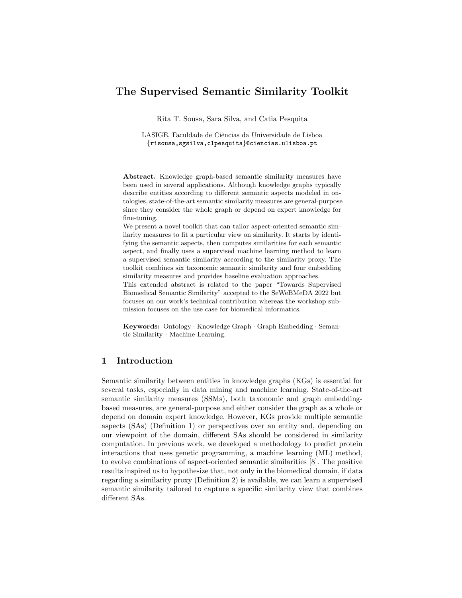# The Supervised Semantic Similarity Toolkit

Rita T. Sousa, Sara Silva, and Catia Pesquita

LASIGE, Faculdade de Ciências da Universidade de Lisboa {risousa,sgsilva,clpesquita}@ciencias.ulisboa.pt

Abstract. Knowledge graph-based semantic similarity measures have been used in several applications. Although knowledge graphs typically describe entities according to different semantic aspects modeled in ontologies, state-of-the-art semantic similarity measures are general-purpose since they consider the whole graph or depend on expert knowledge for fine-tuning.

We present a novel toolkit that can tailor aspect-oriented semantic similarity measures to fit a particular view on similarity. It starts by identifying the semantic aspects, then computes similarities for each semantic aspect, and finally uses a supervised machine learning method to learn a supervised semantic similarity according to the similarity proxy. The toolkit combines six taxonomic semantic similarity and four embedding similarity measures and provides baseline evaluation approaches.

This extended abstract is related to the paper "Towards Supervised Biomedical Semantic Similarity" accepted to the SeWeBMeDA 2022 but focuses on our work's technical contribution whereas the workshop submission focuses on the use case for biomedical informatics.

Keywords: Ontology · Knowledge Graph · Graph Embedding · Semantic Similarity · Machine Learning.

## 1 Introduction

Semantic similarity between entities in knowledge graphs (KGs) is essential for several tasks, especially in data mining and machine learning. State-of-the-art semantic similarity measures (SSMs), both taxonomic and graph embeddingbased measures, are general-purpose and either consider the graph as a whole or depend on domain expert knowledge. However, KGs provide multiple semantic aspects (SAs) (Definition 1) or perspectives over an entity and, depending on our viewpoint of the domain, different SAs should be considered in similarity computation. In previous work, we developed a methodology to predict protein interactions that uses genetic programming, a machine learning (ML) method, to evolve combinations of aspect-oriented semantic similarities [8]. The positive results inspired us to hypothesize that, not only in the biomedical domain, if data regarding a similarity proxy (Definition 2) is available, we can learn a supervised semantic similarity tailored to capture a specific similarity view that combines different SAs.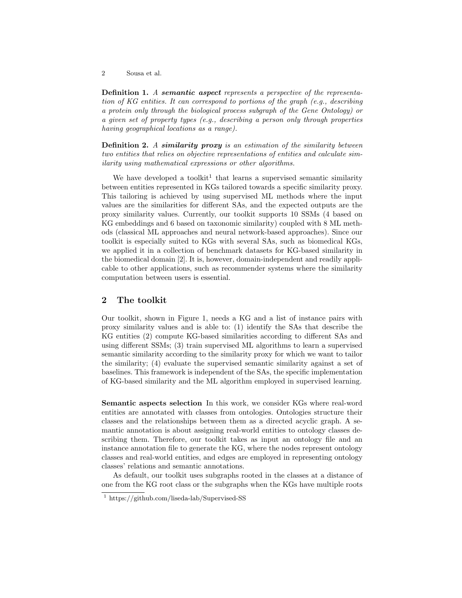2 Sousa et al.

Definition 1. A semantic aspect represents a perspective of the representation of KG entities. It can correspond to portions of the graph (e.g., describing a protein only through the biological process subgraph of the Gene Ontology) or a given set of property types (e.g., describing a person only through properties having geographical locations as a range).

Definition 2. A similarity proxy is an estimation of the similarity between two entities that relies on objective representations of entities and calculate similarity using mathematical expressions or other algorithms.

We have developed a toolkit<sup>1</sup> that learns a supervised semantic similarity between entities represented in KGs tailored towards a specific similarity proxy. This tailoring is achieved by using supervised ML methods where the input values are the similarities for different SAs, and the expected outputs are the proxy similarity values. Currently, our toolkit supports 10 SSMs (4 based on KG embeddings and 6 based on taxonomic similarity) coupled with 8 ML methods (classical ML approaches and neural network-based approaches). Since our toolkit is especially suited to KGs with several SAs, such as biomedical KGs, we applied it in a collection of benchmark datasets for KG-based similarity in the biomedical domain [2]. It is, however, domain-independent and readily applicable to other applications, such as recommender systems where the similarity computation between users is essential.

# 2 The toolkit

Our toolkit, shown in Figure 1, needs a KG and a list of instance pairs with proxy similarity values and is able to: (1) identify the SAs that describe the KG entities (2) compute KG-based similarities according to different SAs and using different SSMs; (3) train supervised ML algorithms to learn a supervised semantic similarity according to the similarity proxy for which we want to tailor the similarity; (4) evaluate the supervised semantic similarity against a set of baselines. This framework is independent of the SAs, the specific implementation of KG-based similarity and the ML algorithm employed in supervised learning.

Semantic aspects selection In this work, we consider KGs where real-word entities are annotated with classes from ontologies. Ontologies structure their classes and the relationships between them as a directed acyclic graph. A semantic annotation is about assigning real-world entities to ontology classes describing them. Therefore, our toolkit takes as input an ontology file and an instance annotation file to generate the KG, where the nodes represent ontology classes and real-world entities, and edges are employed in representing ontology classes' relations and semantic annotations.

As default, our toolkit uses subgraphs rooted in the classes at a distance of one from the KG root class or the subgraphs when the KGs have multiple roots

<sup>1</sup> https://github.com/liseda-lab/Supervised-SS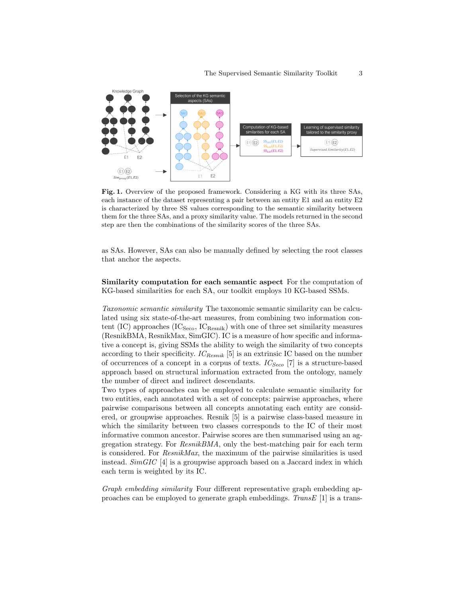

Fig. 1. Overview of the proposed framework. Considering a KG with its three SAs, each instance of the dataset representing a pair between an entity E1 and an entity E2 is characterized by three SS values corresponding to the semantic similarity between them for the three SAs, and a proxy similarity value. The models returned in the second step are then the combinations of the similarity scores of the three SAs.

as SAs. However, SAs can also be manually defined by selecting the root classes that anchor the aspects.

Similarity computation for each semantic aspect For the computation of KG-based similarities for each SA, our toolkit employs 10 KG-based SSMs.

Taxonomic semantic similarity The taxonomic semantic similarity can be calculated using six state-of-the-art measures, from combining two information content (IC) approaches  $(IC<sub>Seco</sub>, IC<sub>Resnik</sub>)$  with one of three set similarity measures (ResnikBMA, ResnikMax, SimGIC). IC is a measure of how specific and informative a concept is, giving SSMs the ability to weigh the similarity of two concepts according to their specificity.  $IC_{Resnik}$  [5] is an extrinsic IC based on the number of occurrences of a concept in a corpus of texts.  $IC_{SecO}$  [7] is a structure-based approach based on structural information extracted from the ontology, namely the number of direct and indirect descendants.

Two types of approaches can be employed to calculate semantic similarity for two entities, each annotated with a set of concepts: pairwise approaches, where pairwise comparisons between all concepts annotating each entity are considered, or groupwise approaches. Resnik [5] is a pairwise class-based measure in which the similarity between two classes corresponds to the IC of their most informative common ancestor. Pairwise scores are then summarised using an aggregation strategy. For ResnikBMA, only the best-matching pair for each term is considered. For ResnikMax, the maximum of the pairwise similarities is used instead. SimGIC [4] is a groupwise approach based on a Jaccard index in which each term is weighted by its IC.

Graph embedding similarity Four different representative graph embedding approaches can be employed to generate graph embeddings. TransE  $[1]$  is a trans-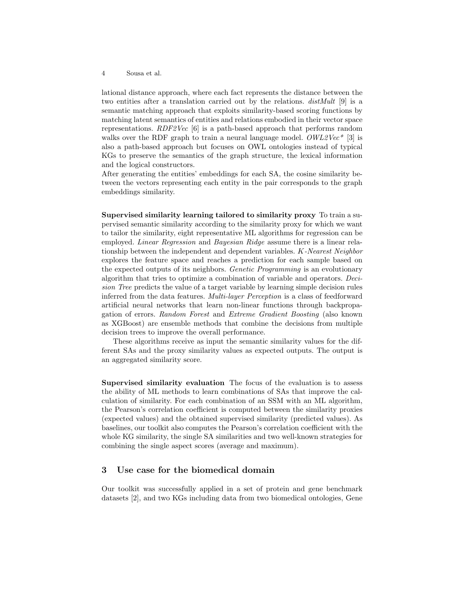#### 4 Sousa et al.

lational distance approach, where each fact represents the distance between the two entities after a translation carried out by the relations. distMult [9] is a semantic matching approach that exploits similarity-based scoring functions by matching latent semantics of entities and relations embodied in their vector space representations. RDF2Vec [6] is a path-based approach that performs random walks over the RDF graph to train a neural language model.  $OWL2Vec^*$  [3] is also a path-based approach but focuses on OWL ontologies instead of typical KGs to preserve the semantics of the graph structure, the lexical information and the logical constructors.

After generating the entities' embeddings for each SA, the cosine similarity between the vectors representing each entity in the pair corresponds to the graph embeddings similarity.

Supervised similarity learning tailored to similarity proxy To train a supervised semantic similarity according to the similarity proxy for which we want to tailor the similarity, eight representative ML algorithms for regression can be employed. Linear Regression and Bayesian Ridge assume there is a linear relationship between the independent and dependent variables. K-Nearest Neighbor explores the feature space and reaches a prediction for each sample based on the expected outputs of its neighbors. Genetic Programming is an evolutionary algorithm that tries to optimize a combination of variable and operators. Decision Tree predicts the value of a target variable by learning simple decision rules inferred from the data features. Multi-layer Perception is a class of feedforward artificial neural networks that learn non-linear functions through backpropagation of errors. Random Forest and Extreme Gradient Boosting (also known as XGBoost) are ensemble methods that combine the decisions from multiple decision trees to improve the overall performance.

These algorithms receive as input the semantic similarity values for the different SAs and the proxy similarity values as expected outputs. The output is an aggregated similarity score.

Supervised similarity evaluation The focus of the evaluation is to assess the ability of ML methods to learn combinations of SAs that improve the calculation of similarity. For each combination of an SSM with an ML algorithm, the Pearson's correlation coefficient is computed between the similarity proxies (expected values) and the obtained supervised similarity (predicted values). As baselines, our toolkit also computes the Pearson's correlation coefficient with the whole KG similarity, the single SA similarities and two well-known strategies for combining the single aspect scores (average and maximum).

### 3 Use case for the biomedical domain

Our toolkit was successfully applied in a set of protein and gene benchmark datasets [2], and two KGs including data from two biomedical ontologies, Gene